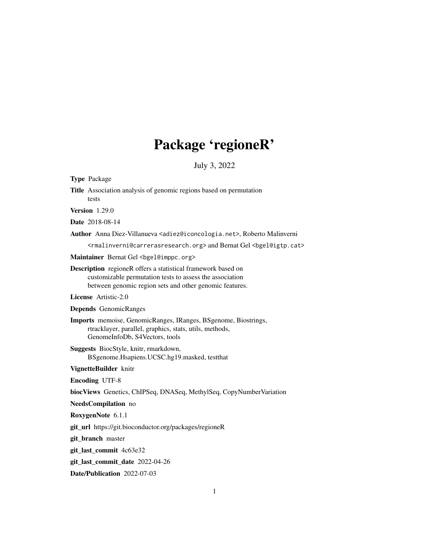# Package 'regioneR'

July 3, 2022

<span id="page-0-0"></span>

| <b>Type Package</b>                                                                                                                                                                        |
|--------------------------------------------------------------------------------------------------------------------------------------------------------------------------------------------|
| Title Association analysis of genomic regions based on permutation<br>tests                                                                                                                |
| <b>Version</b> 1.29.0                                                                                                                                                                      |
| Date 2018-08-14                                                                                                                                                                            |
| Author Anna Diez-Villanueva <adiez@iconcologia.net>, Roberto Malinverni</adiez@iconcologia.net>                                                                                            |
| <rmalinverni@carrerasresearch.org> and Bernat Gel <bgel@igtp.cat></bgel@igtp.cat></rmalinverni@carrerasresearch.org>                                                                       |
| Maintainer Bernat Gel <bgel@imppc.org></bgel@imppc.org>                                                                                                                                    |
| <b>Description</b> regioneR offers a statistical framework based on<br>customizable permutation tests to assess the association<br>between genomic region sets and other genomic features. |
| License Artistic-2.0                                                                                                                                                                       |
| Depends GenomicRanges                                                                                                                                                                      |
| Imports memoise, GenomicRanges, IRanges, BSgenome, Biostrings,<br>rtracklayer, parallel, graphics, stats, utils, methods,<br>GenomeInfoDb, S4Vectors, tools                                |
| Suggests BiocStyle, knitr, rmarkdown,<br>BSgenome.Hsapiens.UCSC.hg19.masked, testthat                                                                                                      |
| VignetteBuilder knitr                                                                                                                                                                      |
| <b>Encoding UTF-8</b>                                                                                                                                                                      |
| biocViews Genetics, ChIPSeq, DNASeq, MethylSeq, CopyNumberVariation                                                                                                                        |
| NeedsCompilation no                                                                                                                                                                        |
| RoxygenNote 6.1.1                                                                                                                                                                          |
| git_url https://git.bioconductor.org/packages/regioneR                                                                                                                                     |
| git_branch master                                                                                                                                                                          |
| git_last_commit 4c63e32                                                                                                                                                                    |
| git_last_commit_date 2022-04-26                                                                                                                                                            |
| Date/Publication 2022-07-03                                                                                                                                                                |
|                                                                                                                                                                                            |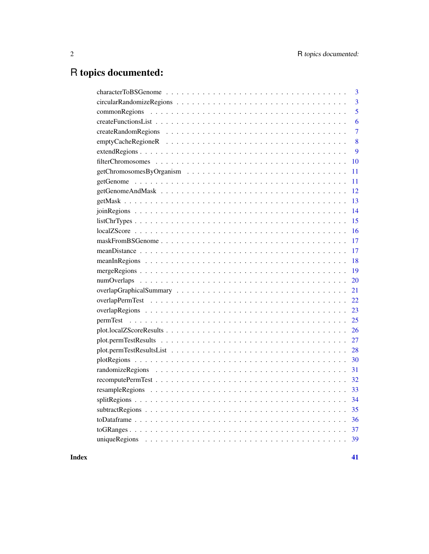## R topics documented:

#### **Index** [41](#page-40-0)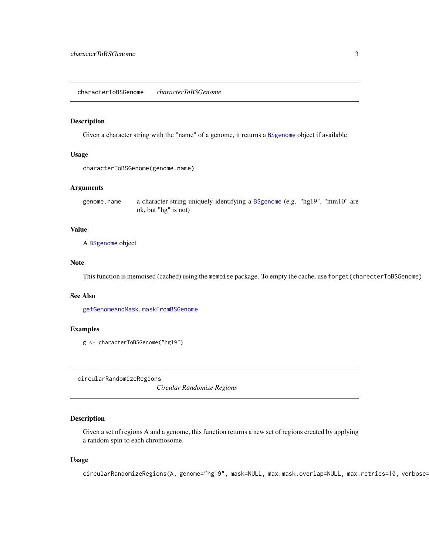<span id="page-2-1"></span><span id="page-2-0"></span>characterToBSGenome *characterToBSGenome*

#### Description

Given a character string with the "name" of a genome, it returns a [BSgenome](#page-0-0) object if available.

#### Usage

```
characterToBSGenome(genome.name)
```
#### Arguments

genome.name a character string uniquely identifying a [BSgenome](#page-0-0) (e.g. "hg19", "mm10" are ok, but "hg" is not)

#### Value

A [BSgenome](#page-0-0) object

#### Note

This function is memoised (cached) using the memoise package. To empty the cache, use forget(charecterToBSGenome)

#### See Also

[getGenomeAndMask](#page-11-1), [maskFromBSGenome](#page-16-1)

#### Examples

g <- characterToBSGenome("hg19")

<span id="page-2-2"></span>circularRandomizeRegions

*Circular Randomize Regions*

#### Description

Given a set of regions A and a genome, this function returns a new set of regions created by applying a random spin to each chromosome.

#### Usage

circularRandomizeRegions(A, genome="hg19", mask=NULL, max.mask.overlap=NULL, max.retries=10, verbose=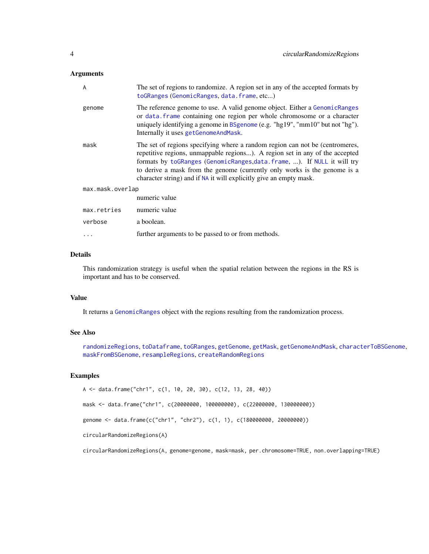#### <span id="page-3-0"></span>**Arguments**

| A                | The set of regions to randomize. A region set in any of the accepted formats by<br>toGRanges (GenomicRanges, data.frame, etc)                                                                                                                                                                                                                                                               |
|------------------|---------------------------------------------------------------------------------------------------------------------------------------------------------------------------------------------------------------------------------------------------------------------------------------------------------------------------------------------------------------------------------------------|
| genome           | The reference genome to use. A valid genome object. Either a GenomicRanges<br>or data. frame containing one region per whole chromosome or a character<br>uniquely identifying a genome in BSgenome (e.g. "hg19", "mm10" but not "hg").<br>Internally it uses getGenomeAndMask.                                                                                                             |
| mask             | The set of regions specifying where a random region can not be (centromeres,<br>repetitive regions, unmappable regions). A region set in any of the accepted<br>formats by toGRanges (GenomicRanges, data. frame, ). If NULL it will try<br>to derive a mask from the genome (currently only works is the genome is a<br>character string) and if NA it will explicitly give an empty mask. |
| max.mask.overlap |                                                                                                                                                                                                                                                                                                                                                                                             |
|                  | numeric value                                                                                                                                                                                                                                                                                                                                                                               |
| max.retries      | numeric value                                                                                                                                                                                                                                                                                                                                                                               |
| verbose          | a boolean.                                                                                                                                                                                                                                                                                                                                                                                  |
| $\cdots$         | further arguments to be passed to or from methods.                                                                                                                                                                                                                                                                                                                                          |

#### Details

This randomization strategy is useful when the spatial relation between the regions in the RS is important and has to be conserved.

#### Value

It returns a [GenomicRanges](#page-0-0) object with the regions resulting from the randomization process.

#### See Also

[randomizeRegions](#page-30-1), [toDataframe](#page-35-1), [toGRanges](#page-36-1), [getGenome](#page-10-1), [getMask](#page-12-1), [getGenomeAndMask](#page-11-1), [characterToBSGenome](#page-2-1), [maskFromBSGenome](#page-16-1), [resampleRegions](#page-32-1), [createRandomRegions](#page-6-1)

#### Examples

```
A <- data.frame("chr1", c(1, 10, 20, 30), c(12, 13, 28, 40))
mask <- data.frame("chr1", c(20000000, 100000000), c(22000000, 130000000))
genome <- data.frame(c("chr1", "chr2"), c(1, 1), c(180000000, 20000000))
circularRandomizeRegions(A)
```
circularRandomizeRegions(A, genome=genome, mask=mask, per.chromosome=TRUE, non.overlapping=TRUE)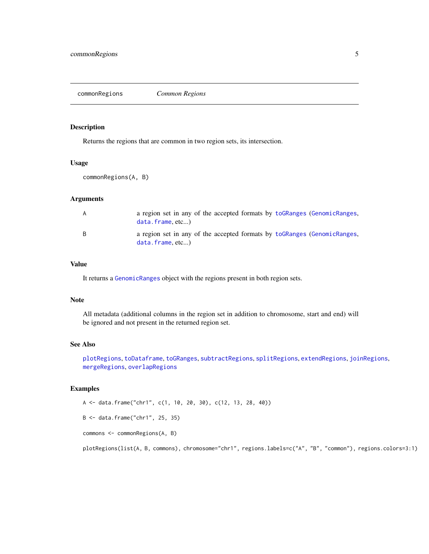<span id="page-4-1"></span><span id="page-4-0"></span>commonRegions *Common Regions*

Returns the regions that are common in two region sets, its intersection.

#### Usage

commonRegions(A, B)

#### Arguments

Description

| A | a region set in any of the accepted formats by to GRanges (Genomic Ranges,<br>data.frame.etc) |
|---|-----------------------------------------------------------------------------------------------|
| B | a region set in any of the accepted formats by to GRanges (Genomic Ranges,<br>data.frame.etc) |

#### Value

It returns a [GenomicRanges](#page-0-0) object with the regions present in both region sets.

#### Note

All metadata (additional columns in the region set in addition to chromosome, start and end) will be ignored and not present in the returned region set.

#### See Also

[plotRegions](#page-29-1), [toDataframe](#page-35-1), [toGRanges](#page-36-1), [subtractRegions](#page-34-1), [splitRegions](#page-33-1), [extendRegions](#page-8-1), [joinRegions](#page-13-1), [mergeRegions](#page-18-1), [overlapRegions](#page-22-1)

#### Examples

A <- data.frame("chr1", c(1, 10, 20, 30), c(12, 13, 28, 40))

```
B <- data.frame("chr1", 25, 35)
```

```
commons <- commonRegions(A, B)
```

```
plotRegions(list(A, B, commons), chromosome="chr1", regions.labels=c("A", "B", "common"), regions.colors=3:1)
```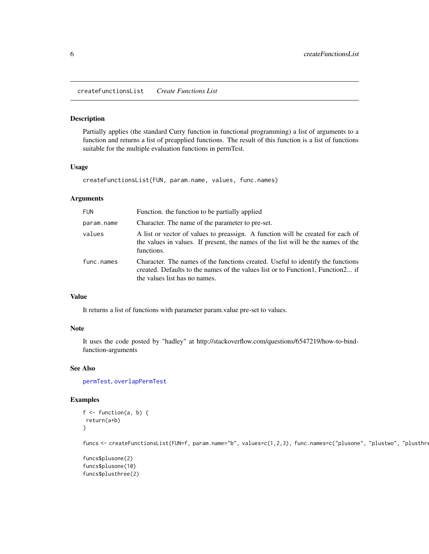<span id="page-5-0"></span>createFunctionsList *Create Functions List*

#### Description

Partially applies (the standard Curry function in functional programming) a list of arguments to a function and returns a list of preapplied functions. The result of this function is a list of functions suitable for the multiple evaluation functions in permTest.

#### Usage

createFunctionsList(FUN, param.name, values, func.names)

#### Arguments

| <b>FUN</b> | Function. the function to be partially applied                                                                                                                                                      |
|------------|-----------------------------------------------------------------------------------------------------------------------------------------------------------------------------------------------------|
| param.name | Character. The name of the parameter to pre-set.                                                                                                                                                    |
| values     | A list or vector of values to preassign. A function will be created for each of<br>the values in values. If present, the names of the list will be the names of the<br>functions.                   |
| func.names | Character. The names of the functions created. Useful to identify the functions<br>created. Defaults to the names of the values list or to Function1, Function2 if<br>the values list has no names. |

#### Value

It returns a list of functions with parameter param.value pre-set to values.

#### Note

It uses the code posted by "hadley" at http://stackoverflow.com/questions/6547219/how-to-bindfunction-arguments

#### See Also

[permTest](#page-24-1), [overlapPermTest](#page-21-1)

#### Examples

```
f \leftarrow function(a, b) {
 return(a+b)
}
```
funcs <- createFunctionsList(FUN=f, param.name="b", values=c(1,2,3), func.names=c("plusone", "plustwo", "plusthre

```
funcs$plusone(2)
funcs$plusone(10)
funcs$plusthree(2)
```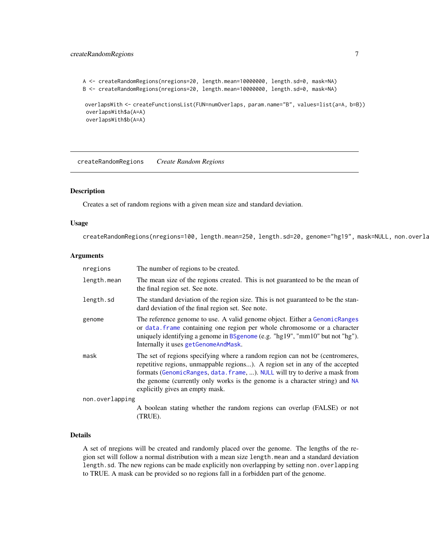#### <span id="page-6-0"></span>createRandomRegions 7

```
A <- createRandomRegions(nregions=20, length.mean=10000000, length.sd=0, mask=NA)
B <- createRandomRegions(nregions=20, length.mean=10000000, length.sd=0, mask=NA)
```

```
overlapsWith <- createFunctionsList(FUN=numOverlaps, param.name="B", values=list(a=A, b=B))
overlapsWith$a(A=A)
overlapsWith$b(A=A)
```
<span id="page-6-1"></span>createRandomRegions *Create Random Regions*

#### Description

Creates a set of random regions with a given mean size and standard deviation.

#### Usage

createRandomRegions(nregions=100, length.mean=250, length.sd=20, genome="hg19", mask=NULL, non.overla

#### Arguments

| nregions        | The number of regions to be created.                                                                                                                                                                                                                                                                                                                           |
|-----------------|----------------------------------------------------------------------------------------------------------------------------------------------------------------------------------------------------------------------------------------------------------------------------------------------------------------------------------------------------------------|
| length.mean     | The mean size of the regions created. This is not guaranteed to be the mean of<br>the final region set. See note.                                                                                                                                                                                                                                              |
| length.sd       | The standard deviation of the region size. This is not guaranteed to be the stan-<br>dard deviation of the final region set. See note.                                                                                                                                                                                                                         |
| genome          | The reference genome to use. A valid genome object. Either a GenomicRanges<br>or data. frame containing one region per whole chromosome or a character<br>uniquely identifying a genome in BSgenome (e.g. " $hg19$ ", " $mm10$ " but not " $hg$ ").<br>Internally it uses getGenomeAndMask.                                                                    |
| mask            | The set of regions specifying where a random region can not be (centromeres,<br>repetitive regions, unmappable regions). A region set in any of the accepted<br>formats (GenomicRanges, data. frame, ). NULL will try to derive a mask from<br>the genome (currently only works is the genome is a character string) and NA<br>explicitly gives an empty mask. |
| non.overlapping |                                                                                                                                                                                                                                                                                                                                                                |
|                 | A boolean stating whether the random regions can overlap (FALSE) or not<br>(TRUE).                                                                                                                                                                                                                                                                             |

#### Details

A set of nregions will be created and randomly placed over the genome. The lengths of the region set will follow a normal distribution with a mean size length.mean and a standard deviation length.sd. The new regions can be made explicitly non overlapping by setting non.overlapping to TRUE. A mask can be provided so no regions fall in a forbidden part of the genome.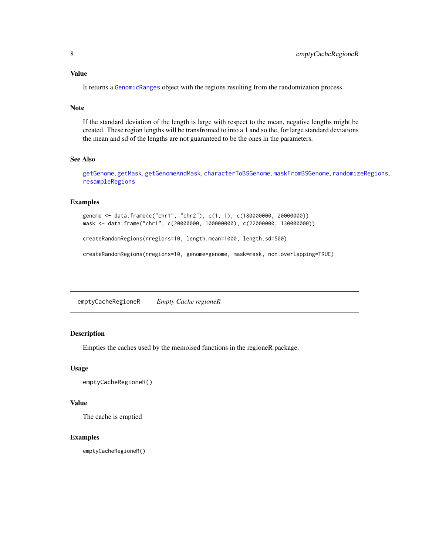#### <span id="page-7-0"></span>Value

It returns a [GenomicRanges](#page-0-0) object with the regions resulting from the randomization process.

#### Note

If the standard deviation of the length is large with respect to the mean, negative lengths might be created. These region lengths will be transfromed to into a 1 and so the, for large standard deviations the mean and sd of the lengths are not guaranteed to be the ones in the parameters.

#### See Also

[getGenome](#page-10-1), [getMask](#page-12-1), [getGenomeAndMask](#page-11-1), [characterToBSGenome](#page-2-1), [maskFromBSGenome](#page-16-1), [randomizeRegions](#page-30-1), [resampleRegions](#page-32-1)

#### Examples

genome <- data.frame(c("chr1", "chr2"), c(1, 1), c(180000000, 20000000)) mask <- data.frame("chr1", c(20000000, 100000000), c(22000000, 130000000))

createRandomRegions(nregions=10, length.mean=1000, length.sd=500)

createRandomRegions(nregions=10, genome=genome, mask=mask, non.overlapping=TRUE)

<span id="page-7-1"></span>emptyCacheRegioneR *Empty Cache regioneR*

#### Description

Empties the caches used by the memoised functions in the regioneR package.

#### Usage

```
emptyCacheRegioneR()
```
#### Value

The cache is emptied

#### Examples

emptyCacheRegioneR()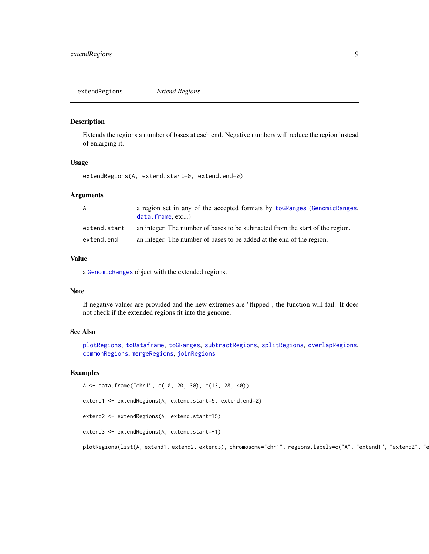<span id="page-8-1"></span><span id="page-8-0"></span>extendRegions *Extend Regions*

#### Description

Extends the regions a number of bases at each end. Negative numbers will reduce the region instead of enlarging it.

#### Usage

extendRegions(A, extend.start=0, extend.end=0)

#### Arguments

| A            | a region set in any of the accepted formats by to GRanges (Genomic Ranges,<br>data. frame, etc |
|--------------|------------------------------------------------------------------------------------------------|
| extend.start | an integer. The number of bases to be subtracted from the start of the region.                 |
| extend.end   | an integer. The number of bases to be added at the end of the region.                          |

#### Value

a [GenomicRanges](#page-0-0) object with the extended regions.

#### Note

If negative values are provided and the new extremes are "flipped", the function will fail. It does not check if the extended regions fit into the genome.

#### See Also

[plotRegions](#page-29-1), [toDataframe](#page-35-1), [toGRanges](#page-36-1), [subtractRegions](#page-34-1), [splitRegions](#page-33-1), [overlapRegions](#page-22-1), [commonRegions](#page-4-1), [mergeRegions](#page-18-1), [joinRegions](#page-13-1)

#### Examples

```
A <- data.frame("chr1", c(10, 20, 30), c(13, 28, 40))
extend1 <- extendRegions(A, extend.start=5, extend.end=2)
extend2 <- extendRegions(A, extend.start=15)
extend3 <- extendRegions(A, extend.start=-1)
plotRegions(list(A, extend1, extend2, extend3), chromosome="chr1", regions.labels=c("A", "extend1", "extend2", "e
```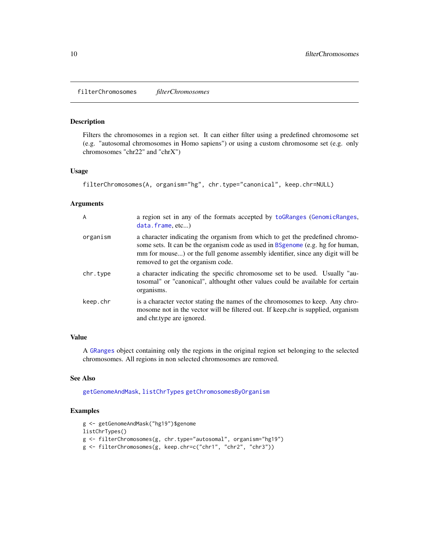<span id="page-9-1"></span><span id="page-9-0"></span>filterChromosomes *filterChromosomes*

#### Description

Filters the chromosomes in a region set. It can either filter using a predefined chromosome set (e.g. "autosomal chromosomes in Homo sapiens") or using a custom chromosome set (e.g. only chromosomes "chr22" and "chrX")

#### Usage

filterChromosomes(A, organism="hg", chr.type="canonical", keep.chr=NULL)

#### Arguments

| $\overline{A}$ | a region set in any of the formats accepted by toGRanges (GenomicRanges,<br>data.frame, etc)                                                                                                                                                                                         |
|----------------|--------------------------------------------------------------------------------------------------------------------------------------------------------------------------------------------------------------------------------------------------------------------------------------|
| organism       | a character indicating the organism from which to get the predefined chromo-<br>some sets. It can be the organism code as used in BSgenome (e.g. hg for human,<br>mm for mouse) or the full genome assembly identifier, since any digit will be<br>removed to get the organism code. |
| chr.type       | a character indicating the specific chromosome set to be used. Usually "au-<br>to to a "canonical", althought other values could be available for certain<br>organisms.                                                                                                              |
| keep.chr       | is a character vector stating the names of the chromosomes to keep. Any chro-<br>mosome not in the vector will be filtered out. If keep chr is supplied, organism<br>and chr.type are ignored.                                                                                       |

#### Value

A [GRanges](#page-0-0) object containing only the regions in the original region set belonging to the selected chromosomes. All regions in non selected chromosomes are removed.

#### See Also

[getGenomeAndMask](#page-11-1), [listChrTypes](#page-14-1) [getChromosomesByOrganism](#page-10-2)

#### Examples

```
g <- getGenomeAndMask("hg19")$genome
listChrTypes()
g <- filterChromosomes(g, chr.type="autosomal", organism="hg19")
g <- filterChromosomes(g, keep.chr=c("chr1", "chr2", "chr3"))
```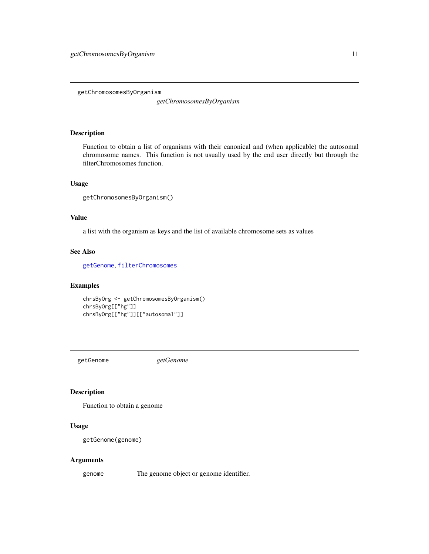<span id="page-10-2"></span><span id="page-10-0"></span>getChromosomesByOrganism

*getChromosomesByOrganism*

#### Description

Function to obtain a list of organisms with their canonical and (when applicable) the autosomal chromosome names. This function is not usually used by the end user directly but through the filterChromosomes function.

#### Usage

getChromosomesByOrganism()

#### Value

a list with the organism as keys and the list of available chromosome sets as values

#### See Also

[getGenome](#page-10-1), [filterChromosomes](#page-9-1)

#### Examples

chrsByOrg <- getChromosomesByOrganism() chrsByOrg[["hg"]] chrsByOrg[["hg"]][["autosomal"]]

<span id="page-10-1"></span>getGenome *getGenome*

#### Description

Function to obtain a genome

#### Usage

getGenome(genome)

#### Arguments

genome The genome object or genome identifier.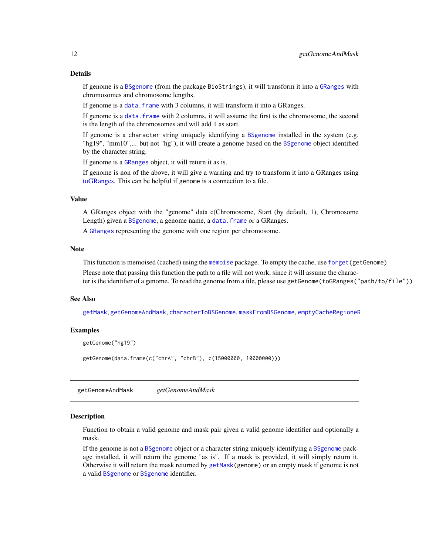#### <span id="page-11-0"></span>Details

If genome is a [BSgenome](#page-0-0) (from the package BioStrings), it will transform it into a [GRanges](#page-0-0) with chromosomes and chromosome lengths.

If genome is a data. frame with 3 columns, it will transform it into a GRanges.

If genome is a data. frame with 2 columns, it will assume the first is the chromosome, the second is the length of the chromosomes and will add 1 as start.

If genome is a character string uniquely identifying a [BSgenome](#page-0-0) installed in the system (e.g. "hg19", "mm10",... but not "hg"), it will create a genome based on the [BSgenome](#page-0-0) object identified by the character string.

If genome is a [GRanges](#page-0-0) object, it will return it as is.

If genome is non of the above, it will give a warning and try to transform it into a GRanges using [toGRanges.](#page-36-1) This can be helpful if genome is a connection to a file.

#### Value

A GRanges object with the "genome" data c(Chromosome, Start (by default, 1), Chromosome Length) given a [BSgenome](#page-0-0), a genome name, a [data.frame](#page-0-0) or a GRanges.

A [GRanges](#page-0-0) representing the genome with one region per chromosome.

#### Note

This function is memoised (cached) using the [memoise](#page-0-0) package. To empty the cache, use [forget\(](#page-0-0)getGenome)

Please note that passing this function the path to a file will not work, since it will assume the character is the identifier of a genome. To read the genome from a file, please use getGenome(toGRanges("path/to/file"))

#### See Also

[getMask](#page-12-1), [getGenomeAndMask](#page-11-1), [characterToBSGenome](#page-2-1), [maskFromBSGenome](#page-16-1), [emptyCacheRegioneR](#page-7-1)

#### Examples

getGenome("hg19")

getGenome(data.frame(c("chrA", "chrB"), c(15000000, 10000000)))

<span id="page-11-1"></span>getGenomeAndMask *getGenomeAndMask*

#### Description

Function to obtain a valid genome and mask pair given a valid genome identifier and optionally a mask.

If the genome is not a [BSgenome](#page-0-0) object or a character string uniquely identifying a BSgenome package installed, it will return the genome "as is". If a mask is provided, it will simply return it. Otherwise it will return the mask returned by [getMask\(](#page-12-1)genome) or an empty mask if genome is not a valid [BSgenome](#page-0-0) or [BSgenome](#page-0-0) identifier.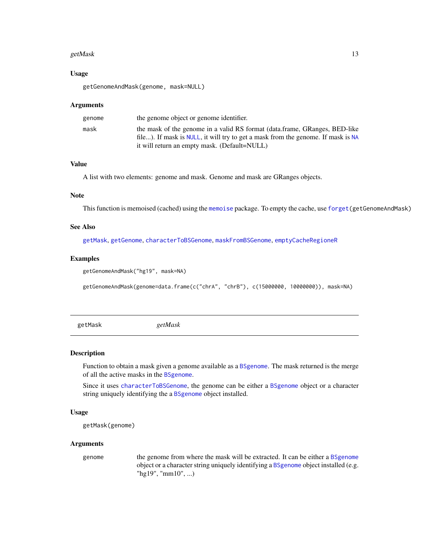#### <span id="page-12-0"></span>getMask 13

#### Usage

getGenomeAndMask(genome, mask=NULL)

#### **Arguments**

| genome | the genome object or genome identifier.                                          |
|--------|----------------------------------------------------------------------------------|
| mask   | the mask of the genome in a valid RS format (data.frame, GRanges, BED-like       |
|        | file). If mask is NULL, it will try to get a mask from the genome. If mask is NA |
|        | it will return an empty mask. (Default=NULL)                                     |

#### Value

A list with two elements: genome and mask. Genome and mask are GRanges objects.

#### Note

This function is memoised (cached) using the [memoise](#page-0-0) package. To empty the cache, use [forget\(](#page-0-0)getGenomeAndMask)

#### See Also

[getMask](#page-12-1), [getGenome](#page-10-1), [characterToBSGenome](#page-2-1), [maskFromBSGenome](#page-16-1), [emptyCacheRegioneR](#page-7-1)

#### Examples

```
getGenomeAndMask("hg19", mask=NA)
```
getGenomeAndMask(genome=data.frame(c("chrA", "chrB"), c(15000000, 10000000)), mask=NA)

<span id="page-12-1"></span>getMask *getMask*

#### Description

Function to obtain a mask given a genome available as a [BSgenome](#page-0-0). The mask returned is the merge of all the active masks in the [BSgenome](#page-0-0).

Since it uses [characterToBSGenome](#page-2-1), the genome can be either a [BSgenome](#page-0-0) object or a character string uniquely identifying the a [BSgenome](#page-0-0) object installed.

#### Usage

```
getMask(genome)
```
#### Arguments

genome the genome from where the mask will be extracted. It can be either a [BSgenome](#page-0-0) object or a character string uniquely identifying a [BSgenome](#page-0-0) object installed (e.g. "hg19", "mm10", ...)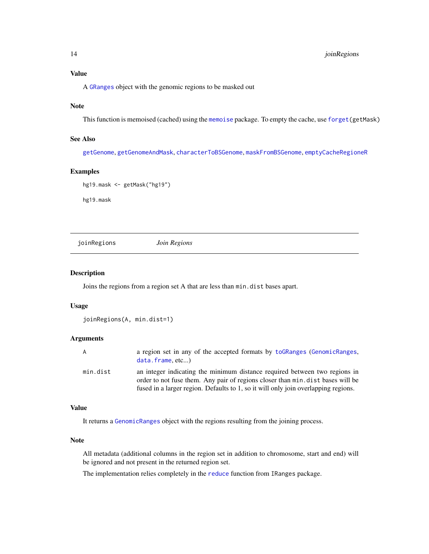<span id="page-13-0"></span>A [GRanges](#page-0-0) object with the genomic regions to be masked out

#### Note

This function is memoised (cached) using the [memoise](#page-0-0) package. To empty the cache, use [forget\(](#page-0-0)getMask)

#### See Also

[getGenome](#page-10-1), [getGenomeAndMask](#page-11-1), [characterToBSGenome](#page-2-1), [maskFromBSGenome](#page-16-1), [emptyCacheRegioneR](#page-7-1)

#### Examples

```
hg19.mask <- getMask("hg19")
```
hg19.mask

<span id="page-13-1"></span>joinRegions *Join Regions*

#### Description

Joins the regions from a region set A that are less than min.dist bases apart.

#### Usage

```
joinRegions(A, min.dist=1)
```
#### Arguments

| A        | a region set in any of the accepted formats by to GRanges (Genomic Ranges,<br>data. frame, etc                                                                                                                                                      |
|----------|-----------------------------------------------------------------------------------------------------------------------------------------------------------------------------------------------------------------------------------------------------|
| min.dist | an integer indicating the minimum distance required between two regions in<br>order to not fuse them. Any pair of regions closer than min. dist bases will be<br>fused in a larger region. Defaults to 1, so it will only join overlapping regions. |

#### Value

It returns a [GenomicRanges](#page-0-0) object with the regions resulting from the joining process.

#### Note

All metadata (additional columns in the region set in addition to chromosome, start and end) will be ignored and not present in the returned region set.

The implementation relies completely in the [reduce](#page-0-0) function from IRanges package.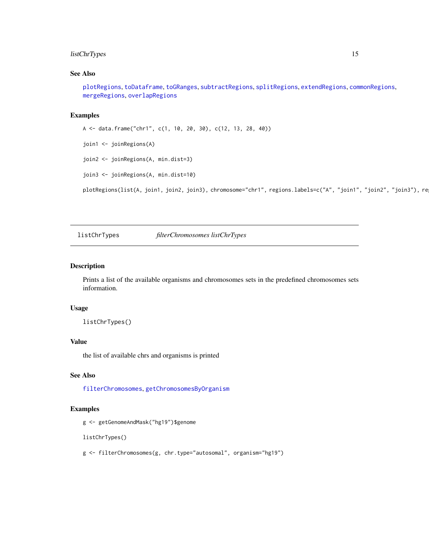#### <span id="page-14-0"></span>listChrTypes 15

#### See Also

[plotRegions](#page-29-1), [toDataframe](#page-35-1), [toGRanges](#page-36-1), [subtractRegions](#page-34-1), [splitRegions](#page-33-1), [extendRegions](#page-8-1), [commonRegions](#page-4-1), [mergeRegions](#page-18-1), [overlapRegions](#page-22-1)

#### Examples

```
A <- data.frame("chr1", c(1, 10, 20, 30), c(12, 13, 28, 40))
```

```
join1 <- joinRegions(A)
```

```
join2 <- joinRegions(A, min.dist=3)
```
join3 <- joinRegions(A, min.dist=10)

plotRegions(list(A, join1, join2, join3), chromosome="chr1", regions.labels=c("A", "join1", "join2", "join3"), re

#### <span id="page-14-1"></span>listChrTypes *filterChromosomes listChrTypes*

#### Description

Prints a list of the available organisms and chromosomes sets in the predefined chromosomes sets information.

#### Usage

listChrTypes()

#### Value

the list of available chrs and organisms is printed

#### See Also

[filterChromosomes](#page-9-1), [getChromosomesByOrganism](#page-10-2)

#### Examples

g <- getGenomeAndMask("hg19")\$genome

listChrTypes()

g <- filterChromosomes(g, chr.type="autosomal", organism="hg19")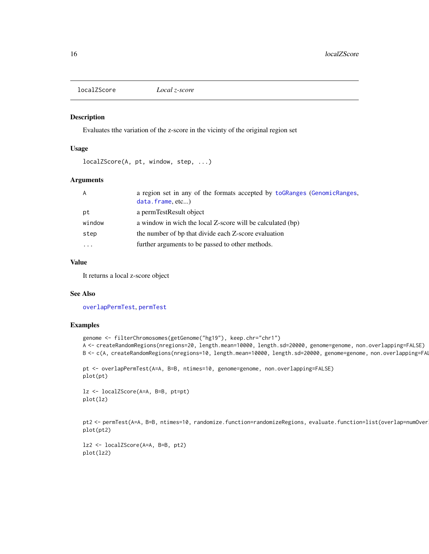<span id="page-15-1"></span><span id="page-15-0"></span>localZScore *Local z-score*

#### Description

Evaluates tthe variation of the z-score in the vicinty of the original region set

#### Usage

localZScore(A, pt, window, step, ...)

#### Arguments

| A      | a region set in any of the formats accepted by toGRanges (GenomicRanges,<br>data.frame, etc) |
|--------|----------------------------------------------------------------------------------------------|
| pt     | a permTestResult object                                                                      |
| window | a window in wich the local Z-score will be calculated (bp)                                   |
| step   | the number of bp that divide each Z-score evaluation                                         |
| .      | further arguments to be passed to other methods.                                             |

#### Value

It returns a local z-score object

#### See Also

[overlapPermTest](#page-21-1), [permTest](#page-24-1)

#### Examples

```
genome <- filterChromosomes(getGenome("hg19"), keep.chr="chr1")
A <- createRandomRegions(nregions=20, length.mean=10000, length.sd=20000, genome=genome, non.overlapping=FALSE)
B <- c(A, createRandomRegions(nregions=10, length.mean=10000, length.sd=20000, genome=genome, non.overlapping=FAI
```

```
pt <- overlapPermTest(A=A, B=B, ntimes=10, genome=genome, non.overlapping=FALSE)
plot(pt)
```
lz <- localZScore(A=A, B=B, pt=pt) plot(lz)

pt2 <- permTest(A=A, B=B, ntimes=10, randomize.function=randomizeRegions, evaluate.function=list(overlap=numOver plot(pt2)

lz2 <- localZScore(A=A, B=B, pt2) plot(lz2)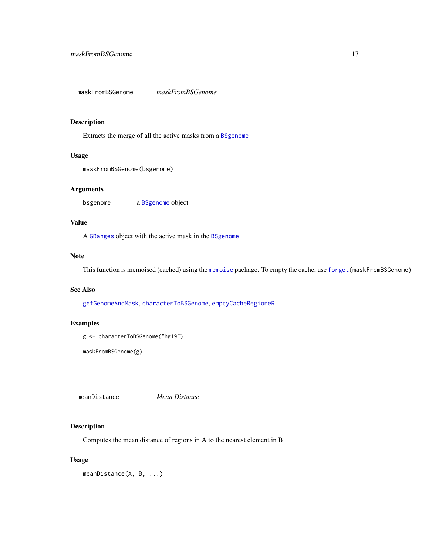<span id="page-16-1"></span><span id="page-16-0"></span>maskFromBSGenome *maskFromBSGenome*

#### Description

Extracts the merge of all the active masks from a [BSgenome](#page-0-0)

#### Usage

```
maskFromBSGenome(bsgenome)
```
#### Arguments

bsgenome a [BSgenome](#page-0-0) object

#### Value

A [GRanges](#page-0-0) object with the active mask in the [BSgenome](#page-0-0)

#### Note

This function is memoised (cached) using the [memoise](#page-0-0) package. To empty the cache, use [forget\(](#page-0-0)maskFromBSGenome)

#### See Also

[getGenomeAndMask](#page-11-1), [characterToBSGenome](#page-2-1), [emptyCacheRegioneR](#page-7-1)

#### Examples

g <- characterToBSGenome("hg19")

maskFromBSGenome(g)

meanDistance *Mean Distance*

#### Description

Computes the mean distance of regions in A to the nearest element in B

#### Usage

meanDistance(A, B, ...)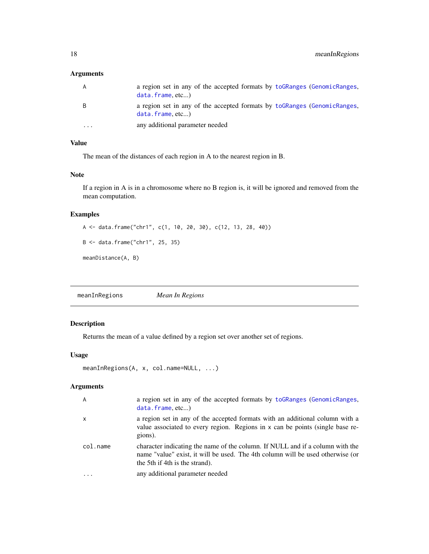#### <span id="page-17-0"></span>Arguments

| A       | a region set in any of the accepted formats by to GRanges (Genomic Ranges,<br>data. frame, etc |
|---------|------------------------------------------------------------------------------------------------|
| B       | a region set in any of the accepted formats by to GRanges (Genomic Ranges,<br>data. frame, etc |
| $\cdot$ | any additional parameter needed                                                                |

#### Value

The mean of the distances of each region in A to the nearest region in B.

#### Note

If a region in A is in a chromosome where no B region is, it will be ignored and removed from the mean computation.

### Examples

```
A <- data.frame("chr1", c(1, 10, 20, 30), c(12, 13, 28, 40))
B <- data.frame("chr1", 25, 35)
meanDistance(A, B)
```
meanInRegions *Mean In Regions*

### Description

Returns the mean of a value defined by a region set over another set of regions.

#### Usage

```
meanInRegions(A, x, col.name=NULL, ...)
```
#### Arguments

| $\overline{A}$ | a region set in any of the accepted formats by to GRanges (Genomic Ranges,<br>data. frame, etc                                                                                                    |
|----------------|---------------------------------------------------------------------------------------------------------------------------------------------------------------------------------------------------|
| $\mathsf{x}$   | a region set in any of the accepted formats with an additional column with a<br>value associated to every region. Regions in x can be points (single base re-<br>gions).                          |
| col.name       | character indicating the name of the column. If NULL and if a column with the<br>name "value" exist, it will be used. The 4th column will be used otherwise (or<br>the 5th if 4th is the strand). |
| $\ddotsc$      | any additional parameter needed                                                                                                                                                                   |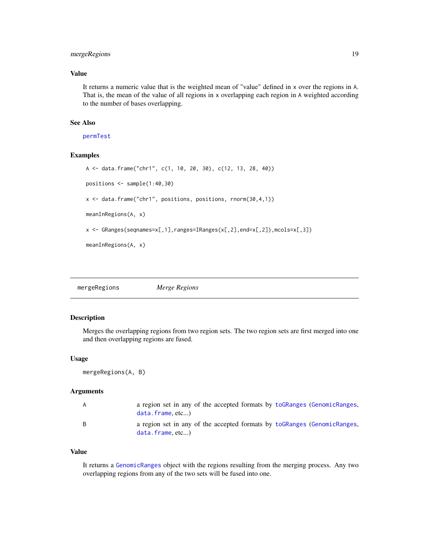#### <span id="page-18-0"></span>mergeRegions 19

#### Value

It returns a numeric value that is the weighted mean of "value" defined in x over the regions in A. That is, the mean of the value of all regions in x overlapping each region in A weighted according to the number of bases overlapping.

#### See Also

[permTest](#page-24-1)

#### Examples

```
A <- data.frame("chr1", c(1, 10, 20, 30), c(12, 13, 28, 40))
positions <- sample(1:40,30)
x <- data.frame("chr1", positions, positions, rnorm(30,4,1))
meanInRegions(A, x)
x <- GRanges(seqnames=x[,1],ranges=IRanges(x[,2],end=x[,2]),mcols=x[,3])
meanInRegions(A, x)
```
<span id="page-18-1"></span>

#### Description

Merges the overlapping regions from two region sets. The two region sets are first merged into one and then overlapping regions are fused.

#### Usage

mergeRegions(A, B)

#### Arguments

| A | a region set in any of the accepted formats by to GRanges (Genomic Ranges,<br>data. frame, etc |
|---|------------------------------------------------------------------------------------------------|
| B | a region set in any of the accepted formats by to GRanges (Genomic Ranges,<br>data.frame.etc)  |

#### Value

It returns a [GenomicRanges](#page-0-0) object with the regions resulting from the merging process. Any two overlapping regions from any of the two sets will be fused into one.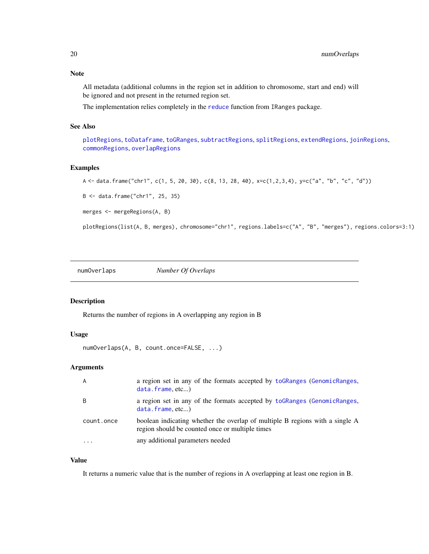#### <span id="page-19-0"></span>Note

All metadata (additional columns in the region set in addition to chromosome, start and end) will be ignored and not present in the returned region set.

The implementation relies completely in the [reduce](#page-0-0) function from IRanges package.

#### See Also

[plotRegions](#page-29-1), [toDataframe](#page-35-1), [toGRanges](#page-36-1), [subtractRegions](#page-34-1), [splitRegions](#page-33-1), [extendRegions](#page-8-1), [joinRegions](#page-13-1), [commonRegions](#page-4-1), [overlapRegions](#page-22-1)

#### Examples

```
A <- data.frame("chr1", c(1, 5, 20, 30), c(8, 13, 28, 40), x=c(1,2,3,4), y=c("a", "b", "c", "d"))
```
B <- data.frame("chr1", 25, 35)

merges <- mergeRegions(A, B)

plotRegions(list(A, B, merges), chromosome="chr1", regions.labels=c("A", "B", "merges"), regions.colors=3:1)

<span id="page-19-1"></span>numOverlaps *Number Of Overlaps*

#### Description

Returns the number of regions in A overlapping any region in B

#### Usage

```
numOverlaps(A, B, count.once=FALSE, ...)
```
#### Arguments

|            | a region set in any of the formats accepted by to GRanges (Genomic Ranges,<br>data.frame.etc)                                   |
|------------|---------------------------------------------------------------------------------------------------------------------------------|
| B          | a region set in any of the formats accepted by to GRanges (Genomic Ranges,<br>data.frame, etc)                                  |
| count.once | boolean indicating whether the overlap of multiple B regions with a single A<br>region should be counted once or multiple times |
| .          | any additional parameters needed                                                                                                |

#### Value

It returns a numeric value that is the number of regions in A overlapping at least one region in B.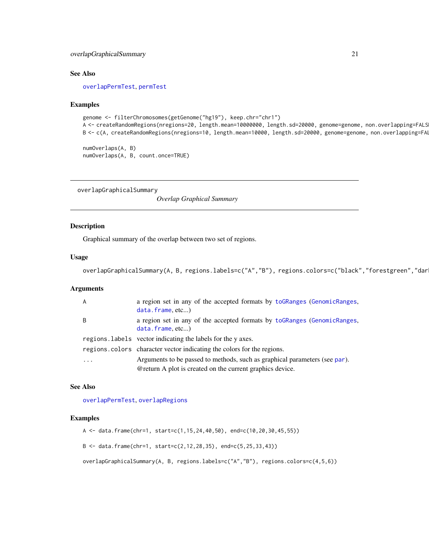<span id="page-20-0"></span>overlapGraphicalSummary 21

#### See Also

[overlapPermTest](#page-21-1), [permTest](#page-24-1)

#### Examples

```
genome <- filterChromosomes(getGenome("hg19"), keep.chr="chr1")
A <- createRandomRegions(nregions=20, length.mean=10000000, length.sd=20000, genome=genome, non.overlapping=FALS
B <- c(A, createRandomRegions(nregions=10, length.mean=10000, length.sd=20000, genome=genome, non.overlapping=FAI
```
numOverlaps(A, B) numOverlaps(A, B, count.once=TRUE)

<span id="page-20-1"></span>overlapGraphicalSummary

*Overlap Graphical Summary*

#### Description

Graphical summary of the overlap between two set of regions.

#### Usage

```
overlapGraphicalSummary(A, B, regions.labels=c("A","B"), regions.colors=c("black","forestgreen","dar
```
#### Arguments

| A | a region set in any of the accepted formats by to GRanges (Genomic Ranges,<br>data.frame, etc) |
|---|------------------------------------------------------------------------------------------------|
| B | a region set in any of the accepted formats by to GRanges (Genomic Ranges,<br>data. frame, etc |
|   | regions. Labels vector indicating the labels for the y axes.                                   |
|   | regions colors character vector indicating the colors for the regions.                         |
| . | Arguments to be passed to methods, such as graphical parameters (see par).                     |
|   | @return A plot is created on the current graphics device.                                      |

#### See Also

[overlapPermTest](#page-21-1), [overlapRegions](#page-22-1)

#### Examples

```
A <- data.frame(chr=1, start=c(1,15,24,40,50), end=c(10,20,30,45,55))
```

```
B <- data.frame(chr=1, start=c(2,12,28,35), end=c(5,25,33,43))
```
overlapGraphicalSummary(A, B, regions.labels=c("A","B"), regions.colors=c(4,5,6))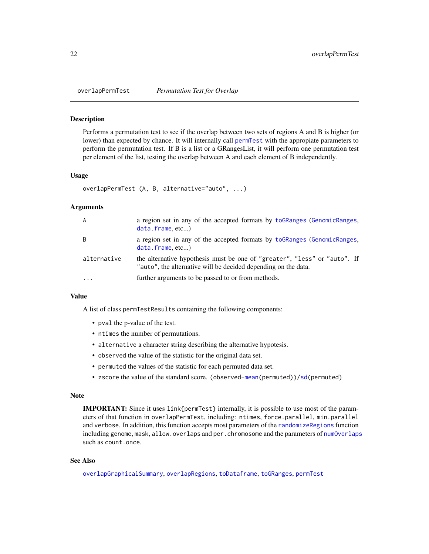<span id="page-21-1"></span><span id="page-21-0"></span>

#### Description

Performs a permutation test to see if the overlap between two sets of regions A and B is higher (or lower) than expected by chance. It will internally call [permTest](#page-24-1) with the appropiate parameters to perform the permutation test. If B is a list or a GRangesList, it will perform one permutation test per element of the list, testing the overlap between A and each element of B independently.

#### Usage

```
overlapPermTest (A, B, alternative="auto", ...)
```
#### Arguments

| $\overline{A}$ | a region set in any of the accepted formats by to GRanges (Genomic Ranges,<br>data.frame, etc)                                              |
|----------------|---------------------------------------------------------------------------------------------------------------------------------------------|
| B              | a region set in any of the accepted formats by to GRanges (Genomic Ranges,<br>data. frame, etc                                              |
| alternative    | the alternative hypothesis must be one of "greater", "less" or "auto". If<br>"auto", the alternative will be decided depending on the data. |
| .              | further arguments to be passed to or from methods.                                                                                          |

#### Value

A list of class permTestResults containing the following components:

- pval the p-value of the test.
- ntimes the number of permutations.
- alternative a character string describing the alternative hypotesis.
- observed the value of the statistic for the original data set.
- permuted the values of the statistic for each permuted data set.
- zscore the value of the standard score. (observed[-mean\(](#page-0-0)permuted))[/sd\(](#page-0-0)permuted)

#### Note

IMPORTANT: Since it uses link{permTest} internally, it is possible to use most of the parameters of that function in overlapPermTest, including: ntimes, force.parallel, min.parallel and verbose. In addition, this function accepts most parameters of the [randomizeRegions](#page-30-1) function including genome, mask, allow.overlaps and per.chromosome and the parameters of [numOverlaps](#page-19-1) such as count.once.

#### See Also

[overlapGraphicalSummary](#page-20-1), [overlapRegions](#page-22-1), [toDataframe](#page-35-1), [toGRanges](#page-36-1), [permTest](#page-24-1)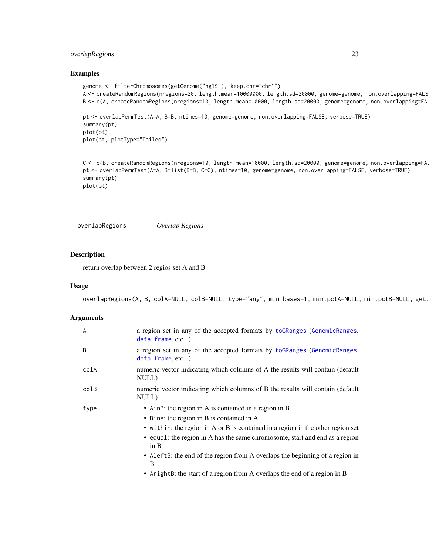#### <span id="page-22-0"></span>overlapRegions 23

#### Examples

```
genome <- filterChromosomes(getGenome("hg19"), keep.chr="chr1")
A <- createRandomRegions(nregions=20, length.mean=10000000, length.sd=20000, genome=genome, non.overlapping=FALS
B <- c(A, createRandomRegions(nregions=10, length.mean=10000, length.sd=20000, genome=genome, non.overlapping=FAI
pt <- overlapPermTest(A=A, B=B, ntimes=10, genome=genome, non.overlapping=FALSE, verbose=TRUE)
summary(pt)
```

```
plot(pt)
plot(pt, plotType="Tailed")
```

```
C <- c(B, createRandomRegions(nregions=10, length.mean=10000, length.sd=20000, genome=genome, non.overlapping=FAI
pt <- overlapPermTest(A=A, B=list(B=B, C=C), ntimes=10, genome=genome, non.overlapping=FALSE, verbose=TRUE)
summary(pt)
plot(pt)
```
<span id="page-22-1"></span>overlapRegions *Overlap Regions*

#### Description

return overlap between 2 regios set A and B

#### Usage

overlapRegions(A, B, colA=NULL, colB=NULL, type="any", min.bases=1, min.pctA=NULL, min.pctB=NULL, get.

#### Arguments

| A    | a region set in any of the accepted formats by toGRanges (GenomicRanges,<br>data.frame, etc)                                                                                                                                                                                                                                                                        |
|------|---------------------------------------------------------------------------------------------------------------------------------------------------------------------------------------------------------------------------------------------------------------------------------------------------------------------------------------------------------------------|
| B    | a region set in any of the accepted formats by to GRanges (Genomic Ranges,<br>data.frame, etc)                                                                                                                                                                                                                                                                      |
| colA | numeric vector indicating which columns of A the results will contain (default<br>NULL)                                                                                                                                                                                                                                                                             |
| colB | numeric vector indicating which columns of B the results will contain (default<br>NULL)                                                                                                                                                                                                                                                                             |
| type | • AinB: the region in A is contained in a region in B<br>• BinA: the region in B is contained in A<br>• within: the region in A or B is contained in a region in the other region set<br>• equal: the region in A has the same chromosome, start and end as a region<br>in $B$<br>• AleftB: the end of the region from A overlaps the beginning of a region in<br>B |
|      | • ArightB: the start of a region from A overlaps the end of a region in B                                                                                                                                                                                                                                                                                           |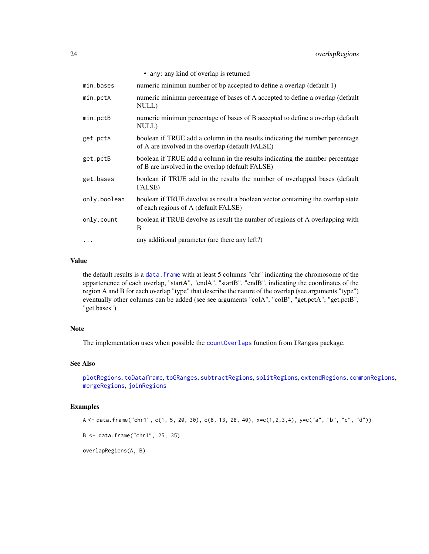• any: any kind of overlap is returned

<span id="page-23-0"></span>

| min.bases    | numeric minimun number of bp accepted to define a overlap (default 1)                                                            |
|--------------|----------------------------------------------------------------------------------------------------------------------------------|
| min.pctA     | numeric minimum percentage of bases of A accepted to define a overlap (default<br>NULL)                                          |
| min.pctB     | numeric minimum percentage of bases of B accepted to define a overlap (default<br>NULL)                                          |
| get.pctA     | boolean if TRUE add a column in the results indicating the number percentage<br>of A are involved in the overlap (default FALSE) |
| get.pctB     | boolean if TRUE add a column in the results indicating the number percentage<br>of B are involved in the overlap (default FALSE) |
| get.bases    | boolean if TRUE add in the results the number of overlapped bases (default<br>FALSE)                                             |
| only.boolean | boolean if TRUE devolve as result a boolean vector containing the overlap state<br>of each regions of A (default FALSE)          |
| only.count   | boolean if TRUE devolve as result the number of regions of A overlapping with<br>B                                               |
| $\ddots$     | any additional parameter (are there any left?)                                                                                   |

#### Value

the default results is a data. frame with at least 5 columns "chr" indicating the chromosome of the appartenence of each overlap, "startA", "endA", "startB", "endB", indicating the coordinates of the region A and B for each overlap "type" that describe the nature of the overlap (see arguments "type") eventually other columns can be added (see see arguments "colA", "colB", "get.pctA", "get.pctB", "get.bases")

#### Note

The implementation uses when possible the [countOverlaps](#page-0-0) function from IRanges package.

#### See Also

[plotRegions](#page-29-1), [toDataframe](#page-35-1), [toGRanges](#page-36-1), [subtractRegions](#page-34-1), [splitRegions](#page-33-1), [extendRegions](#page-8-1), [commonRegions](#page-4-1), [mergeRegions](#page-18-1), [joinRegions](#page-13-1)

#### Examples

A <- data.frame("chr1", c(1, 5, 20, 30), c(8, 13, 28, 40), x=c(1,2,3,4), y=c("a", "b", "c", "d"))

B <- data.frame("chr1", 25, 35)

overlapRegions(A, B)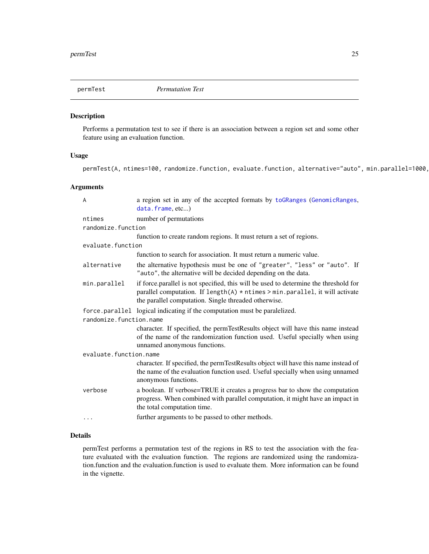<span id="page-24-1"></span><span id="page-24-0"></span>

#### Description

Performs a permutation test to see if there is an association between a region set and some other feature using an evaluation function.

#### Usage

```
permTest(A, ntimes=100, randomize.function, evaluate.function, alternative="auto", min.parallel=1000,
```
#### Arguments

| A                       | a region set in any of the accepted formats by toGRanges (GenomicRanges,<br>data.frame, etc)                                                                                                                                    |  |
|-------------------------|---------------------------------------------------------------------------------------------------------------------------------------------------------------------------------------------------------------------------------|--|
| ntimes                  | number of permutations                                                                                                                                                                                                          |  |
| randomize function      |                                                                                                                                                                                                                                 |  |
|                         | function to create random regions. It must return a set of regions.                                                                                                                                                             |  |
| evaluate.function       |                                                                                                                                                                                                                                 |  |
|                         | function to search for association. It must return a numeric value.                                                                                                                                                             |  |
| alternative             | the alternative hypothesis must be one of "greater", "less" or "auto". If<br>"auto", the alternative will be decided depending on the data.                                                                                     |  |
| min.parallel            | if force parallel is not specified, this will be used to determine the threshold for<br>parallel computation. If length $(A)$ * ntimes > min.parallel, it will activate<br>the parallel computation. Single threaded otherwise. |  |
|                         | force.parallel logical indicating if the computation must be paralelized.                                                                                                                                                       |  |
| randomize.function.name |                                                                                                                                                                                                                                 |  |
|                         | character. If specified, the permTestResults object will have this name instead<br>of the name of the randomization function used. Useful specially when using<br>unnamed anonymous functions.                                  |  |
| evaluate.function.name  |                                                                                                                                                                                                                                 |  |
|                         | character. If specified, the permTestResults object will have this name instead of<br>the name of the evaluation function used. Useful specially when using unnamed<br>anonymous functions.                                     |  |
| verbose                 | a boolean. If verbose=TRUE it creates a progress bar to show the computation<br>progress. When combined with parallel computation, it might have an impact in<br>the total computation time.                                    |  |
|                         | further arguments to be passed to other methods.                                                                                                                                                                                |  |

#### Details

permTest performs a permutation test of the regions in RS to test the association with the feature evaluated with the evaluation function. The regions are randomized using the randomization.function and the evaluation.function is used to evaluate them. More information can be found in the vignette.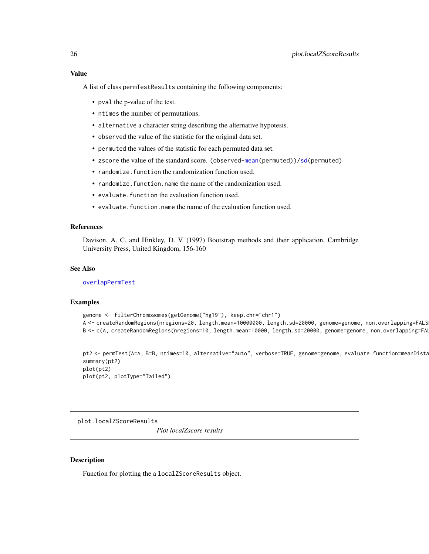#### <span id="page-25-0"></span>Value

A list of class permTestResults containing the following components:

- pval the p-value of the test.
- ntimes the number of permutations.
- alternative a character string describing the alternative hypotesis.
- observed the value of the statistic for the original data set.
- permuted the values of the statistic for each permuted data set.
- zscore the value of the standard score. (observed[-mean\(](#page-0-0)permuted))[/sd\(](#page-0-0)permuted)
- randomize. function the randomization function used.
- randomize. function. name the name of the randomization used.
- evaluate.function the evaluation function used.
- evaluate.function.name the name of the evaluation function used.

#### References

Davison, A. C. and Hinkley, D. V. (1997) Bootstrap methods and their application, Cambridge University Press, United Kingdom, 156-160

#### See Also

[overlapPermTest](#page-21-1)

#### Examples

```
genome <- filterChromosomes(getGenome("hg19"), keep.chr="chr1")
A <- createRandomRegions(nregions=20, length.mean=10000000, length.sd=20000, genome=genome, non.overlapping=FALS
B <- c(A, createRandomRegions(nregions=10, length.mean=10000, length.sd=20000, genome=genome, non.overlapping=FAI
```

```
pt2 <- permTest(A=A, B=B, ntimes=10, alternative="auto", verbose=TRUE, genome=genome, evaluate.function=meanDista
summary(pt2)
plot(pt2)
plot(pt2, plotType="Tailed")
```
plot.localZScoreResults

*Plot localZscore results*

#### Description

Function for plotting the a localZScoreResults object.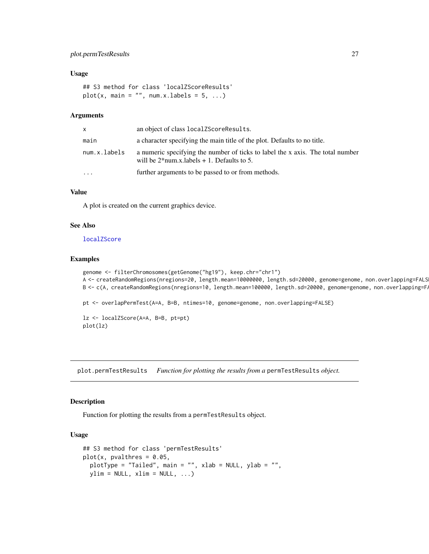#### <span id="page-26-0"></span>plot.permTestResults 27

#### Usage

```
## S3 method for class 'localZScoreResults'
plot(x, main = "", num.x.labels = 5, ...)
```
#### Arguments

| X            | an object of class localZScoreResults.                                                                                          |
|--------------|---------------------------------------------------------------------------------------------------------------------------------|
| main         | a character specifying the main title of the plot. Defaults to no title.                                                        |
| num.x.labels | a numeric specifying the number of ticks to label the x axis. The total number<br>will be $2*num.x.labels + 1$ . Defaults to 5. |
| $\ddotsc$    | further arguments to be passed to or from methods.                                                                              |

#### Value

A plot is created on the current graphics device.

#### See Also

[localZScore](#page-15-1)

#### Examples

```
genome <- filterChromosomes(getGenome("hg19"), keep.chr="chr1")
A <- createRandomRegions(nregions=20, length.mean=10000000, length.sd=20000, genome=genome, non.overlapping=FALS
B <- c(A, createRandomRegions(nregions=10, length.mean=100000, length.sd=20000, genome=genome, non.overlapping=F/
pt <- overlapPermTest(A=A, B=B, ntimes=10, genome=genome, non.overlapping=FALSE)
lz <- localZScore(A=A, B=B, pt=pt)
plot(lz)
```
plot.permTestResults *Function for plotting the results from a* permTestResults *object.*

#### Description

Function for plotting the results from a permTestResults object.

#### Usage

```
## S3 method for class 'permTestResults'
plot(x, y) pualthres = 0.05,
  plotType = "Tailed", main = "", xlab = NULL, ylab = "",
 ylim = NULL, xlim = NULL, ...
```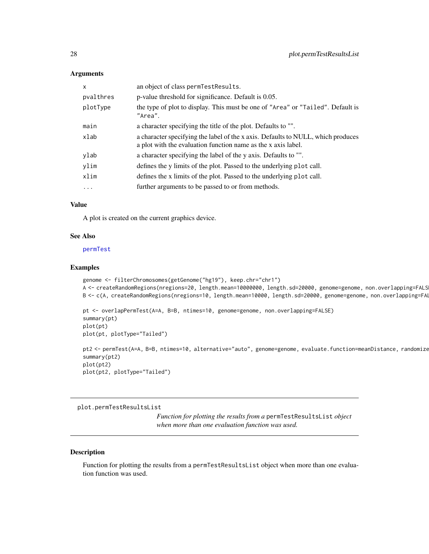#### **Arguments**

| an object of class permTestResults.                                                                                                               |
|---------------------------------------------------------------------------------------------------------------------------------------------------|
| p-value threshold for significance. Default is 0.05.                                                                                              |
| the type of plot to display. This must be one of "Area" or "Tailed". Default is<br>"Area".                                                        |
| a character specifying the title of the plot. Defaults to "".                                                                                     |
| a character specifying the label of the x axis. Defaults to NULL, which produces<br>a plot with the evaluation function name as the x axis label. |
| a character specifying the label of the y axis. Defaults to "".                                                                                   |
| defines the y limits of the plot. Passed to the underlying plot call.                                                                             |
| defines the x limits of the plot. Passed to the underlying plot call.                                                                             |
| further arguments to be passed to or from methods.                                                                                                |
|                                                                                                                                                   |

#### Value

A plot is created on the current graphics device.

#### See Also

[permTest](#page-24-1)

#### Examples

```
genome <- filterChromosomes(getGenome("hg19"), keep.chr="chr1")
A <- createRandomRegions(nregions=20, length.mean=10000000, length.sd=20000, genome=genome, non.overlapping=FALS
B <- c(A, createRandomRegions(nregions=10, length.mean=10000, length.sd=20000, genome=genome, non.overlapping=FAI
pt <- overlapPermTest(A=A, B=B, ntimes=10, genome=genome, non.overlapping=FALSE)
summary(pt)
plot(pt)
plot(pt, plotType="Tailed")
pt2 <- permTest(A=A, B=B, ntimes=10, alternative="auto", genome=genome, evaluate.function=meanDistance, randomize
summary(pt2)
plot(pt2)
```
plot(pt2, plotType="Tailed")

plot.permTestResultsList

*Function for plotting the results from a* permTestResultsList *object when more than one evaluation function was used.*

#### Description

Function for plotting the results from a permTestResultsList object when more than one evaluation function was used.

<span id="page-27-0"></span>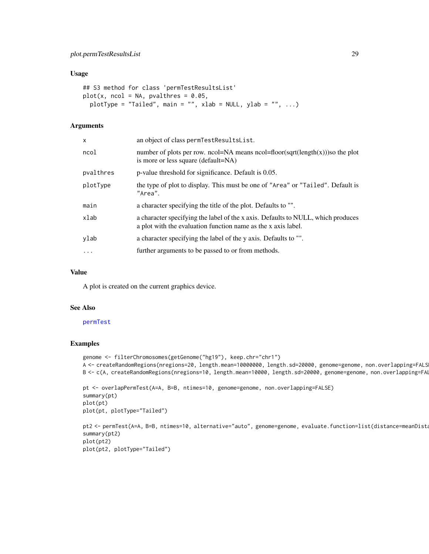#### <span id="page-28-0"></span>Usage

```
## S3 method for class 'permTestResultsList'
plot(x, ncol = NA, pvalthres = 0.05,plotType = "Tailed", main = "", xlab = NULL, ylab = "", ...)
```
#### Arguments

| x         | an object of class permTestResultsList.                                                                                                           |
|-----------|---------------------------------------------------------------------------------------------------------------------------------------------------|
| ncol      | number of plots per row. ncol=NA means ncol=floor(sqrt(length(x)))so the plot<br>is more or less square (default=NA)                              |
| pvalthres | p-value threshold for significance. Default is 0.05.                                                                                              |
| plotType  | the type of plot to display. This must be one of "Area" or "Tailed". Default is<br>"Area".                                                        |
| main      | a character specifying the title of the plot. Defaults to "".                                                                                     |
| xlab      | a character specifying the label of the x axis. Defaults to NULL, which produces<br>a plot with the evaluation function name as the x axis label. |
| vlab      | a character specifying the label of the y axis. Defaults to "".                                                                                   |
| $\ddots$  | further arguments to be passed to or from methods.                                                                                                |
|           |                                                                                                                                                   |

#### Value

A plot is created on the current graphics device.

#### See Also

#### [permTest](#page-24-1)

### Examples

```
genome <- filterChromosomes(getGenome("hg19"), keep.chr="chr1")
A <- createRandomRegions(nregions=20, length.mean=10000000, length.sd=20000, genome=genome, non.overlapping=FALS
B <- c(A, createRandomRegions(nregions=10, length.mean=10000, length.sd=20000, genome=genome, non.overlapping=FAI
```

```
pt <- overlapPermTest(A=A, B=B, ntimes=10, genome=genome, non.overlapping=FALSE)
summary(pt)
plot(pt)
plot(pt, plotType="Tailed")
```

```
pt2 <- permTest(A=A, B=B, ntimes=10, alternative="auto", genome=genome, evaluate.function=list(distance=meanDista
summary(pt2)
plot(pt2)
plot(pt2, plotType="Tailed")
```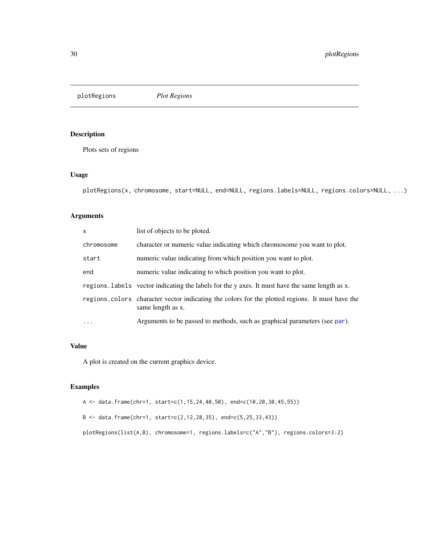<span id="page-29-1"></span><span id="page-29-0"></span>plotRegions *Plot Regions*

#### Description

Plots sets of regions

#### Usage

```
plotRegions(x, chromosome, start=NULL, end=NULL, regions.labels=NULL, regions.colors=NULL, ...)
```
### Arguments

| $\mathsf{x}$ | list of objects to be ploted.                                                                                        |
|--------------|----------------------------------------------------------------------------------------------------------------------|
| chromosome   | character or numeric value indicating which chromosome you want to plot.                                             |
| start        | numeric value indicating from which position you want to plot.                                                       |
| end          | numeric value indicating to which position you want to plot.                                                         |
|              | regions labels vector indicating the labels for the y axes. It must have the same length as x.                       |
|              | regions colors character vector indicating the colors for the plotted regions. It must have the<br>same length as x. |
| $\cdots$     | Arguments to be passed to methods, such as graphical parameters (see par).                                           |

#### Value

A plot is created on the current graphics device.

#### Examples

```
A <- data.frame(chr=1, start=c(1,15,24,40,50), end=c(10,20,30,45,55))
B <- data.frame(chr=1, start=c(2,12,28,35), end=c(5,25,33,43))
plotRegions(list(A,B), chromosome=1, regions.labels=c("A","B"), regions.colors=3:2)
```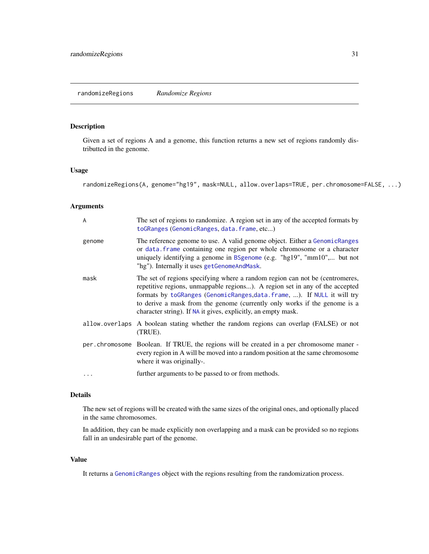<span id="page-30-1"></span><span id="page-30-0"></span>randomizeRegions *Randomize Regions*

#### Description

Given a set of regions A and a genome, this function returns a new set of regions randomly distributted in the genome.

#### Usage

randomizeRegions(A, genome="hg19", mask=NULL, allow.overlaps=TRUE, per.chromosome=FALSE, ...)

#### Arguments

| A      | The set of regions to randomize. A region set in any of the accepted formats by<br>toGRanges (GenomicRanges, data.frame, etc)                                                                                                                                                                                                                                                          |
|--------|----------------------------------------------------------------------------------------------------------------------------------------------------------------------------------------------------------------------------------------------------------------------------------------------------------------------------------------------------------------------------------------|
| genome | The reference genome to use. A valid genome object. Either a GenomicRanges<br>or data. frame containing one region per whole chromosome or a character<br>uniquely identifying a genome in BSgenome (e.g. "hg19", "mm10", but not<br>"hg"). Internally it uses getGenomeAndMask.                                                                                                       |
| mask   | The set of regions specifying where a random region can not be (centromeres,<br>repetitive regions, unmappable regions). A region set in any of the accepted<br>formats by toGRanges (GenomicRanges, data. frame, ). If NULL it will try<br>to derive a mask from the genome (currently only works if the genome is a<br>character string). If NA it gives, explicitly, an empty mask. |
|        | allow overlaps A boolean stating whether the random regions can overlap (FALSE) or not<br>(TRUE).                                                                                                                                                                                                                                                                                      |
|        | per chromosome Boolean. If TRUE, the regions will be created in a per chromosome maner -<br>every region in A will be moved into a random position at the same chromosome<br>where it was originally-.                                                                                                                                                                                 |
|        | further arguments to be passed to or from methods.                                                                                                                                                                                                                                                                                                                                     |

#### Details

The new set of regions will be created with the same sizes of the original ones, and optionally placed in the same chromosomes.

In addition, they can be made explicitly non overlapping and a mask can be provided so no regions fall in an undesirable part of the genome.

#### Value

It returns a [GenomicRanges](#page-0-0) object with the regions resulting from the randomization process.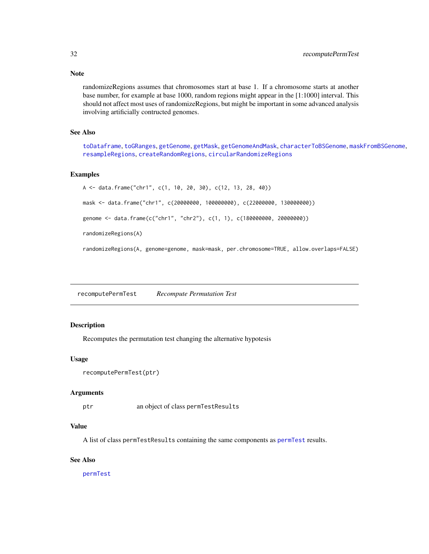Note

randomizeRegions assumes that chromosomes start at base 1. If a chromosome starts at another base number, for example at base 1000, random regions might appear in the [1:1000] interval. This should not affect most uses of randomizeRegions, but might be important in some advanced analysis involving artificially contructed genomes.

#### See Also

[toDataframe](#page-35-1), [toGRanges](#page-36-1), [getGenome](#page-10-1), [getMask](#page-12-1), [getGenomeAndMask](#page-11-1), [characterToBSGenome](#page-2-1), [maskFromBSGenome](#page-16-1), [resampleRegions](#page-32-1), [createRandomRegions](#page-6-1), [circularRandomizeRegions](#page-2-2)

#### Examples

```
A <- data.frame("chr1", c(1, 10, 20, 30), c(12, 13, 28, 40))
mask <- data.frame("chr1", c(20000000, 100000000), c(22000000, 130000000))
genome <- data.frame(c("chr1", "chr2"), c(1, 1), c(180000000, 20000000))
randomizeRegions(A)
randomizeRegions(A, genome=genome, mask=mask, per.chromosome=TRUE, allow.overlaps=FALSE)
```
recomputePermTest *Recompute Permutation Test*

#### Description

Recomputes the permutation test changing the alternative hypotesis

#### Usage

```
recomputePermTest(ptr)
```
#### Arguments

ptr an object of class permTestResults

#### Value

A list of class permTestResults containing the same components as [permTest](#page-24-1) results.

#### See Also

[permTest](#page-24-1)

<span id="page-31-0"></span>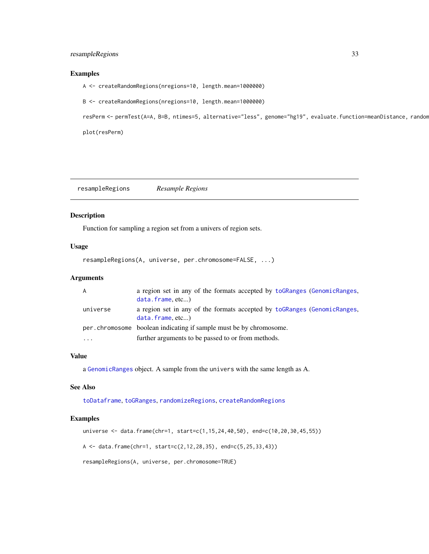#### <span id="page-32-0"></span>resampleRegions 33

#### Examples

A <- createRandomRegions(nregions=10, length.mean=1000000)

B <- createRandomRegions(nregions=10, length.mean=1000000)

```
resPerm <- permTest(A=A, B=B, ntimes=5, alternative="less", genome="hg19", evaluate.function=meanDistance, random
```
plot(resPerm)

<span id="page-32-1"></span>resampleRegions *Resample Regions*

#### Description

Function for sampling a region set from a univers of region sets.

#### Usage

```
resampleRegions(A, universe, per.chromosome=FALSE, ...)
```
#### Arguments

| $\overline{A}$ | a region set in any of the formats accepted by to GRanges (Genomic Ranges,<br>data. frame, etc |
|----------------|------------------------------------------------------------------------------------------------|
| universe       | a region set in any of the formats accepted by to GRanges (Genomic Ranges,<br>data. frame, etc |
|                | per chromosome boolean indicating if sample must be by chromosome.                             |
|                | further arguments to be passed to or from methods.                                             |

#### Value

a [GenomicRanges](#page-0-0) object. A sample from the univers with the same length as A.

#### See Also

[toDataframe](#page-35-1), [toGRanges](#page-36-1), [randomizeRegions](#page-30-1), [createRandomRegions](#page-6-1)

#### Examples

universe <- data.frame(chr=1, start=c(1,15,24,40,50), end=c(10,20,30,45,55))

A <- data.frame(chr=1, start=c(2,12,28,35), end=c(5,25,33,43))

resampleRegions(A, universe, per.chromosome=TRUE)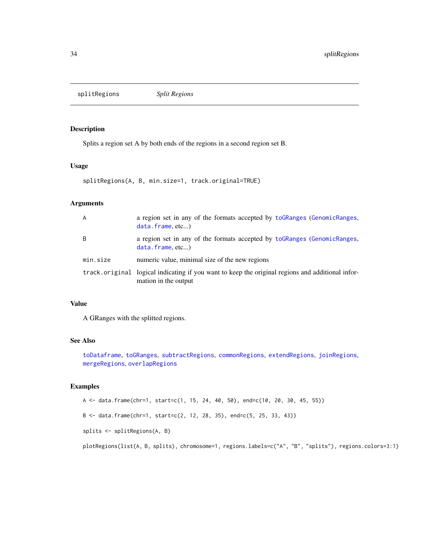<span id="page-33-1"></span><span id="page-33-0"></span>splitRegions *Split Regions*

#### Description

Splits a region set A by both ends of the regions in a second region set B.

#### Usage

```
splitRegions(A, B, min.size=1, track.original=TRUE)
```
#### Arguments

| A        | a region set in any of the formats accepted by toGRanges (GenomicRanges,<br>data. frame, etc                             |
|----------|--------------------------------------------------------------------------------------------------------------------------|
| B        | a region set in any of the formats accepted by to GRanges (Genomic Ranges,<br>data. frame, etc                           |
| min.size | numeric value, minimal size of the new regions                                                                           |
|          | track.original logical indicating if you want to keep the original regions and additional infor-<br>mation in the output |

#### Value

A GRanges with the splitted regions.

#### See Also

[toDataframe](#page-35-1), [toGRanges](#page-36-1), [subtractRegions](#page-34-1), [commonRegions](#page-4-1), [extendRegions](#page-8-1), [joinRegions](#page-13-1), [mergeRegions](#page-18-1), [overlapRegions](#page-22-1)

#### Examples

```
A <- data.frame(chr=1, start=c(1, 15, 24, 40, 50), end=c(10, 20, 30, 45, 55))
B <- data.frame(chr=1, start=c(2, 12, 28, 35), end=c(5, 25, 33, 43))
splits <- splitRegions(A, B)
```
plotRegions(list(A, B, splits), chromosome=1, regions.labels=c("A", "B", "splits"), regions.colors=3:1)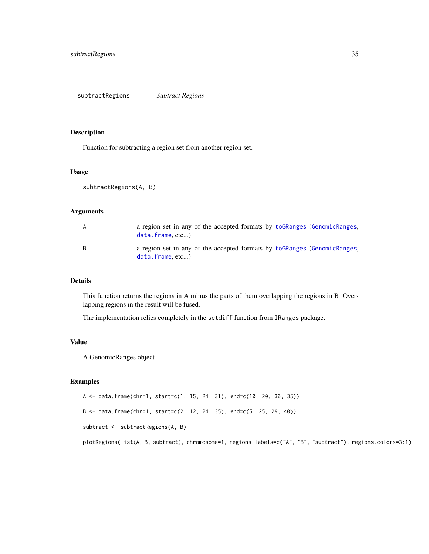#### <span id="page-34-1"></span><span id="page-34-0"></span>Description

Function for subtracting a region set from another region set.

#### Usage

subtractRegions(A, B)

#### Arguments

| a region set in any of the accepted formats by to GRanges (Genomic Ranges,<br>data. frame, etc |
|------------------------------------------------------------------------------------------------|
| a region set in any of the accepted formats by to GRanges (Genomic Ranges,<br>data.frame, etc) |

#### Details

This function returns the regions in A minus the parts of them overlapping the regions in B. Overlapping regions in the result will be fused.

The implementation relies completely in the setdiff function from IRanges package.

#### Value

A GenomicRanges object

#### Examples

```
A <- data.frame(chr=1, start=c(1, 15, 24, 31), end=c(10, 20, 30, 35))
```

```
B <- data.frame(chr=1, start=c(2, 12, 24, 35), end=c(5, 25, 29, 40))
```
subtract <- subtractRegions(A, B)

```
plotRegions(list(A, B, subtract), chromosome=1, regions.labels=c("A", "B", "subtract"), regions.colors=3:1)
```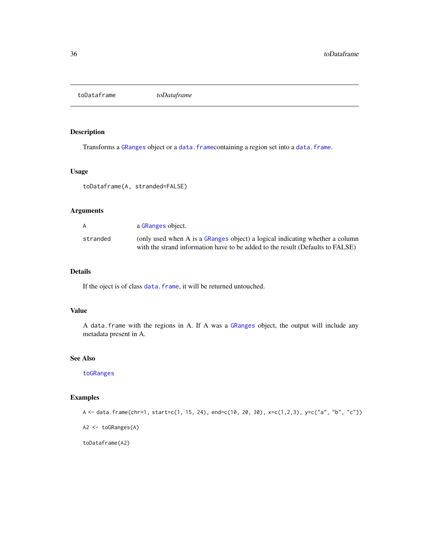<span id="page-35-1"></span><span id="page-35-0"></span>toDataframe *toDataframe*

#### Description

Transforms a [GRanges](#page-0-0) object or a data. framecontaining a region set into a data. frame.

#### Usage

toDataframe(A, stranded=FALSE)

#### Arguments

| A        | a GRanges object.                                                              |
|----------|--------------------------------------------------------------------------------|
| stranded | (only used when A is a GRanges object) a logical indicating whether a column   |
|          | with the strand information have to be added to the result (Defaults to FALSE) |

#### Details

If the oject is of class data. frame, it will be returned untouched.

#### Value

A data.frame with the regions in A. If A was a [GRanges](#page-0-0) object, the output will include any metadata present in A.

#### See Also

[toGRanges](#page-36-1)

#### Examples

```
A <- data.frame(chr=1, start=c(1, 15, 24), end=c(10, 20, 30), x=c(1,2,3), y=c("a", "b", "c"))
```
A2 <- toGRanges(A)

toDataframe(A2)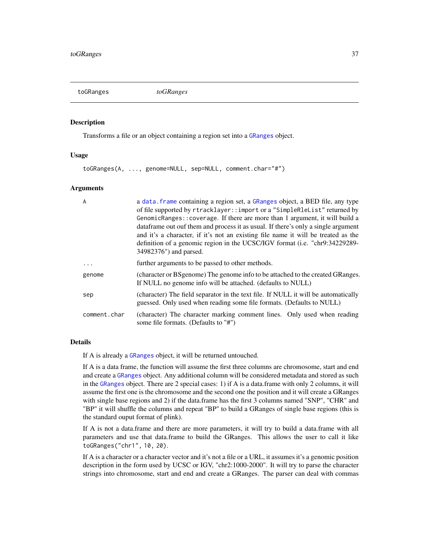<span id="page-36-1"></span><span id="page-36-0"></span>toGRanges *toGRanges*

#### Description

Transforms a file or an object containing a region set into a [GRanges](#page-0-0) object.

#### Usage

```
toGRanges(A, ..., genome=NULL, sep=NULL, comment.char="#")
```
#### Arguments

| A            | a data. frame containing a region set, a GRanges object, a BED file, any type<br>of file supported by rtracklayer::import or a "SimpleRleList" returned by<br>GenomicRanges: : coverage. If there are more than 1 argument, it will build a<br>data frame out out them and process it as usual. If there's only a single argument<br>and it's a character, if it's not an existing file name it will be treated as the<br>definition of a genomic region in the UCSC/IGV format (i.e. "chr9:34229289-<br>34982376") and parsed. |
|--------------|---------------------------------------------------------------------------------------------------------------------------------------------------------------------------------------------------------------------------------------------------------------------------------------------------------------------------------------------------------------------------------------------------------------------------------------------------------------------------------------------------------------------------------|
| .            | further arguments to be passed to other methods.                                                                                                                                                                                                                                                                                                                                                                                                                                                                                |
| genome       | (character or BS genome) The genome info to be attached to the created GR anges.<br>If NULL no genome info will be attached. (defaults to NULL)                                                                                                                                                                                                                                                                                                                                                                                 |
| sep          | (character) The field separator in the text file. If NULL it will be automatically<br>guessed. Only used when reading some file formats. (Defaults to NULL)                                                                                                                                                                                                                                                                                                                                                                     |
| comment.char | (character) The character marking comment lines. Only used when reading<br>some file formats. (Defaults to "#")                                                                                                                                                                                                                                                                                                                                                                                                                 |

#### Details

If A is already a [GRanges](#page-0-0) object, it will be returned untouched.

If A is a data frame, the function will assume the first three columns are chromosome, start and end and create a [GRanges](#page-0-0) object. Any additional column will be considered metadata and stored as such in the [GRanges](#page-0-0) object. There are 2 special cases: 1) if A is a data.frame with only 2 columns, it will assume the first one is the chromosome and the second one the position and it will create a GRanges with single base regions and 2) if the data.frame has the first 3 columns named "SNP", "CHR" and "BP" it will shuffle the columns and repeat "BP" to build a GRanges of single base regions (this is the standard ouput format of plink).

If A is not a data.frame and there are more parameters, it will try to build a data.frame with all parameters and use that data.frame to build the GRanges. This allows the user to call it like toGRanges("chr1", 10, 20).

If A is a character or a character vector and it's not a file or a URL, it assumes it's a genomic position description in the form used by UCSC or IGV, "chr2:1000-2000". It will try to parse the character strings into chromosome, start and end and create a GRanges. The parser can deal with commas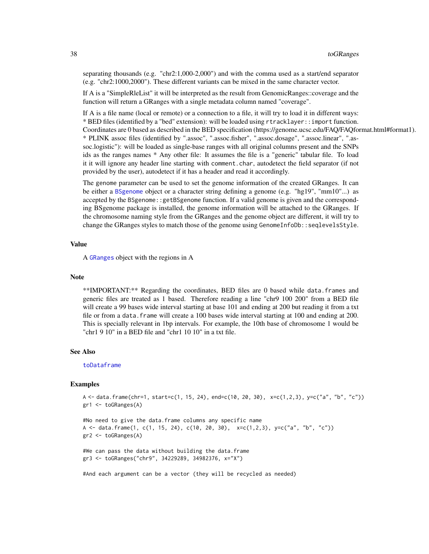<span id="page-37-0"></span>separating thousands (e.g. "chr2:1,000-2,000") and with the comma used as a start/end separator (e.g. "chr2:1000,2000"). These different variants can be mixed in the same character vector.

If A is a "SimpleRleList" it will be interpreted as the result from GenomicRanges::coverage and the function will return a GRanges with a single metadata column named "coverage".

If A is a file name (local or remote) or a connection to a file, it will try to load it in different ways: \* BED files (identified by a "bed" extension): will be loaded using rtracklayer::import function. Coordinates are 0 based as described in the BED specification (https://genome.ucsc.edu/FAQ/FAQformat.html#format1). \* PLINK assoc files (identified by ".assoc", ".assoc.fisher", ".assoc.dosage", ".assoc.linear", ".assoc.logistic"): will be loaded as single-base ranges with all original columns present and the SNPs ids as the ranges names \* Any other file: It assumes the file is a "generic" tabular file. To load it it will ignore any header line starting with comment.char, autodetect the field separator (if not provided by the user), autodetect if it has a header and read it accordingly.

The genome parameter can be used to set the genome information of the created GRanges. It can be either a [BSgenome](#page-0-0) object or a character string defining a genome (e.g. "hg19", "mm10"...) as accepted by the BSgenome::getBSgenome function. If a valid genome is given and the corresponding BSgenome package is installed, the genome information will be attached to the GRanges. If the chromosome naming style from the GRanges and the genome object are different, it will try to change the GRanges styles to match those of the genome using GenomeInfoDb::seqlevelsStyle.

#### Value

A [GRanges](#page-0-0) object with the regions in A

#### **Note**

\*\*IMPORTANT:\*\* Regarding the coordinates, BED files are 0 based while data.frames and generic files are treated as 1 based. Therefore reading a line "chr9 100 200" from a BED file will create a 99 bases wide interval starting at base 101 and ending at 200 but reading it from a txt file or from a data. frame will create a 100 bases wide interval starting at 100 and ending at 200. This is specially relevant in 1bp intervals. For example, the 10th base of chromosome 1 would be "chr1 9 10" in a BED file and "chr1 10 10" in a txt file.

#### See Also

[toDataframe](#page-35-1)

#### Examples

```
A <- data.frame(chr=1, start=c(1, 15, 24), end=c(10, 20, 30), x=c(1,2,3), y=c("a", "b", "c"))gr1 <- toGRanges(A)
```

```
#No need to give the data.frame columns any specific name
A <- data.frame(1, c(1, 15, 24), c(10, 20, 30), x=c(1,2,3), y=c("a", "b", "c"))
gr2 <- toGRanges(A)
```

```
#We can pass the data without building the data.frame
gr3 <- toGRanges("chr9", 34229289, 34982376, x="X")
```
#And each argument can be a vector (they will be recycled as needed)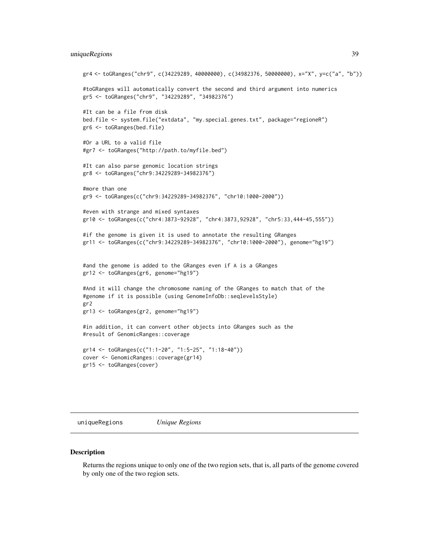#### <span id="page-38-0"></span>uniqueRegions 39

```
gr4 <- toGRanges("chr9", c(34229289, 40000000), c(34982376, 50000000), x="X", y=c("a", "b"))
#toGRanges will automatically convert the second and third argument into numerics
gr5 <- toGRanges("chr9", "34229289", "34982376")
#It can be a file from disk
bed.file <- system.file("extdata", "my.special.genes.txt", package="regioneR")
gr6 <- toGRanges(bed.file)
#Or a URL to a valid file
#gr7 <- toGRanges("http://path.to/myfile.bed")
#It can also parse genomic location strings
gr8 <- toGRanges("chr9:34229289-34982376")
#more than one
gr9 <- toGRanges(c("chr9:34229289-34982376", "chr10:1000-2000"))
#even with strange and mixed syntaxes
gr10 <- toGRanges(c("chr4:3873-92928", "chr4:3873,92928", "chr5:33,444-45,555"))
#if the genome is given it is used to annotate the resulting GRanges
gr11 <- toGRanges(c("chr9:34229289-34982376", "chr10:1000-2000"), genome="hg19")
#and the genome is added to the GRanges even if A is a GRanges
gr12 <- toGRanges(gr6, genome="hg19")
#And it will change the chromosome naming of the GRanges to match that of the
#genome if it is possible (using GenomeInfoDb::seqlevelsStyle)
gr2
gr13 <- toGRanges(gr2, genome="hg19")
#in addition, it can convert other objects into GRanges such as the
#result of GenomicRanges::coverage
gr14 <- toGRanges(c("1:1-20", "1:5-25", "1:18-40"))
cover <- GenomicRanges::coverage(gr14)
gr15 <- toGRanges(cover)
```
uniqueRegions *Unique Regions*

#### **Description**

Returns the regions unique to only one of the two region sets, that is, all parts of the genome covered by only one of the two region sets.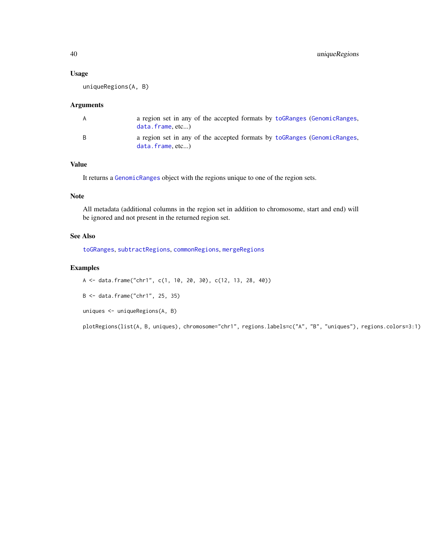#### Usage

uniqueRegions(A, B)

#### Arguments

| A  | a region set in any of the accepted formats by to GRanges (Genomic Ranges,<br>data. frame, etc |
|----|------------------------------------------------------------------------------------------------|
| B. | a region set in any of the accepted formats by to GRanges (Genomic Ranges,<br>data. frame, etc |

#### Value

It returns a [GenomicRanges](#page-0-0) object with the regions unique to one of the region sets.

#### Note

All metadata (additional columns in the region set in addition to chromosome, start and end) will be ignored and not present in the returned region set.

#### See Also

[toGRanges](#page-36-1), [subtractRegions](#page-34-1), [commonRegions](#page-4-1), [mergeRegions](#page-18-1)

#### Examples

A <- data.frame("chr1", c(1, 10, 20, 30), c(12, 13, 28, 40))

B <- data.frame("chr1", 25, 35)

```
uniques <- uniqueRegions(A, B)
```
plotRegions(list(A, B, uniques), chromosome="chr1", regions.labels=c("A", "B", "uniques"), regions.colors=3:1)

<span id="page-39-0"></span>